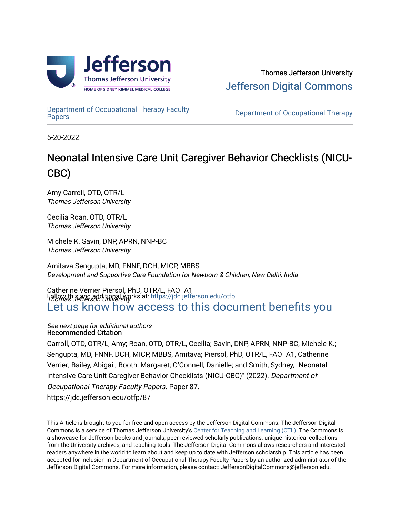

[Department of Occupational Therapy Faculty](https://jdc.jefferson.edu/otfp)  Department of Occupational Therapy Faculty<br>[Papers](https://jdc.jefferson.edu/otfp)

5-20-2022

# Neonatal Intensive Care Unit Caregiver Behavior Checklists (NICU-CBC)

Amy Carroll, OTD, OTR/L Thomas Jefferson University

Cecilia Roan, OTD, OTR/L Thomas Jefferson University

Michele K. Savin, DNP, APRN, NNP-BC Thomas Jefferson University

Amitava Sengupta, MD, FNNF, DCH, MICP, MBBS Development and Supportive Care Foundation for Newborn & Children, New Delhi, India

Catherine Verrier Piersol, PhD, OTR/L, FAOTA1 Thomas Jefferson University Follow this and additional works at: [https://jdc.jefferson.edu/otfp](https://jdc.jefferson.edu/otfp?utm_source=jdc.jefferson.edu%2Fotfp%2F87&utm_medium=PDF&utm_campaign=PDFCoverPages)  Let us know how access to this document benefits you

See next page for additional authors Recommended Citation

Carroll, OTD, OTR/L, Amy; Roan, OTD, OTR/L, Cecilia; Savin, DNP, APRN, NNP-BC, Michele K.; Sengupta, MD, FNNF, DCH, MICP, MBBS, Amitava; Piersol, PhD, OTR/L, FAOTA1, Catherine Verrier; Bailey, Abigail; Booth, Margaret; O'Connell, Danielle; and Smith, Sydney, "Neonatal Intensive Care Unit Caregiver Behavior Checklists (NICU-CBC)" (2022). Department of Occupational Therapy Faculty Papers. Paper 87. https://jdc.jefferson.edu/otfp/87

This Article is brought to you for free and open access by the Jefferson Digital Commons. The Jefferson Digital Commons is a service of Thomas Jefferson University's [Center for Teaching and Learning \(CTL\)](http://www.jefferson.edu/university/teaching-learning.html/). The Commons is a showcase for Jefferson books and journals, peer-reviewed scholarly publications, unique historical collections from the University archives, and teaching tools. The Jefferson Digital Commons allows researchers and interested readers anywhere in the world to learn about and keep up to date with Jefferson scholarship. This article has been accepted for inclusion in Department of Occupational Therapy Faculty Papers by an authorized administrator of the Jefferson Digital Commons. For more information, please contact: JeffersonDigitalCommons@jefferson.edu.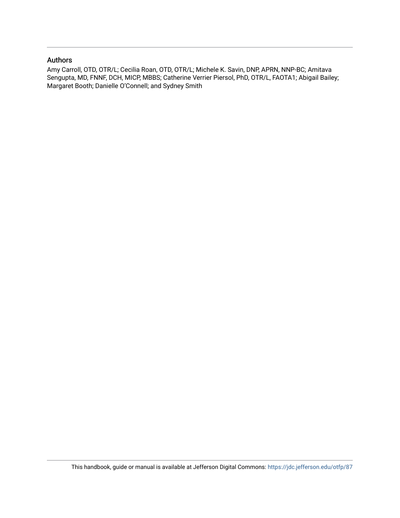#### Authors

Amy Carroll, OTD, OTR/L; Cecilia Roan, OTD, OTR/L; Michele K. Savin, DNP, APRN, NNP-BC; Amitava Sengupta, MD, FNNF, DCH, MICP, MBBS; Catherine Verrier Piersol, PhD, OTR/L, FAOTA1; Abigail Bailey; Margaret Booth; Danielle O'Connell; and Sydney Smith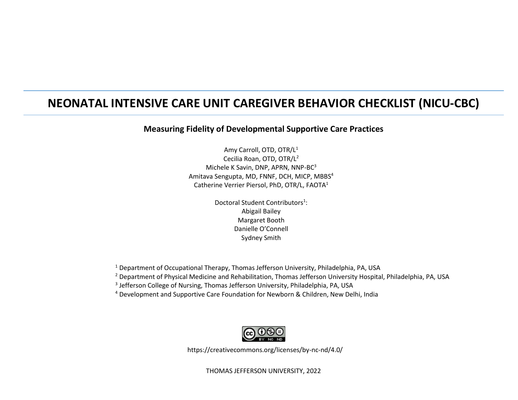## **NEONATAL INTENSIVE CARE UNIT CAREGIVER BEHAVIOR CHECKLIST (NICU-CBC)**

#### **Measuring Fidelity of Developmental Supportive Care Practices**

Amy Carroll, OTD, OTR/L<sup>1</sup> Cecilia Roan, OTD, OTR/L<sup>2</sup> Michele K Savin, DNP, APRN, NNP-BC<sup>3</sup> Amitava Sengupta, MD, FNNF, DCH, MICP, MBBS<sup>4</sup> Catherine Verrier Piersol, PhD, OTR/L, FAOTA<sup>1</sup>

> Doctoral Student Contributors<sup>1</sup>: Abigail Bailey Margaret Booth Danielle O'Connell Sydney Smith

<sup>1</sup> Department of Occupational Therapy, Thomas Jefferson University, Philadelphia, PA, USA

<sup>2</sup> Department of Physical Medicine and Rehabilitation, Thomas Jefferson University Hospital, Philadelphia, PA, USA

<sup>3</sup> Jefferson College of Nursing, Thomas Jefferson University, Philadelphia, PA, USA

<sup>4</sup> Development and Supportive Care Foundation for Newborn & Children, New Delhi, India



https://creativecommons.org/licenses/by-nc-nd/4.0/

THOMAS JEFFERSON UNIVERSITY, 2022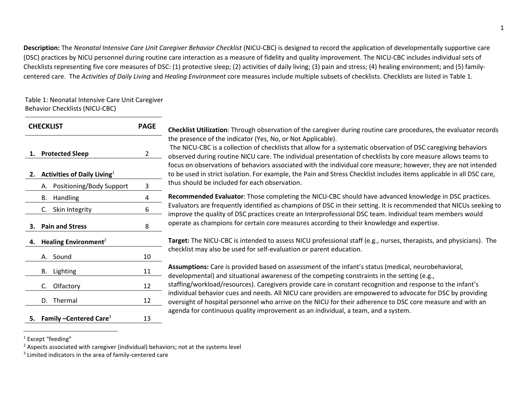**Description:** The *Neonatal Intensive Care Unit Caregiver Behavior Checklist* (NICU-CBC) is designed to record the application of developmentally supportive care (DSC) practices by NICU personnel during routine care interaction as a measure of fidelity and quality improvement. The NICU-CBC includes individual sets of Checklists representing five core measures of DSC: (1) protective sleep; (2) activities of daily living; (3) pain and stress; (4) healing environment; and (5) familycentered care. The *Activities of Daily Living* and *Healing Environment* core measures include multiple subsets of checklists. Checklists are listed in Table 1.

#### Table 1: Neonatal Intensive Care Unit Caregiver Behavior Checklists (NICU-CBC)

| <b>CHECKLIST</b>                                      | <b>PAGE</b> | Checklist Utilization: Through observation of the caregiver during routine care procedures, the evaluator records                                                                                                                                                                                                                                                                                                                                                                                                                        |
|-------------------------------------------------------|-------------|------------------------------------------------------------------------------------------------------------------------------------------------------------------------------------------------------------------------------------------------------------------------------------------------------------------------------------------------------------------------------------------------------------------------------------------------------------------------------------------------------------------------------------------|
| 1. Protected Sleep<br>Activities of Daily Living $^1$ | 2           | the presence of the indicator (Yes, No, or Not Applicable).<br>The NICU-CBC is a collection of checklists that allow for a systematic observation of DSC caregiving behaviors<br>observed during routine NICU care. The individual presentation of checklists by core measure allows teams to<br>focus on observations of behaviors associated with the individual core measure; however, they are not intended<br>to be used in strict isolation. For example, the Pain and Stress Checklist includes items applicable in all DSC care, |
| A. Positioning/Body Support                           | 3           | thus should be included for each observation.                                                                                                                                                                                                                                                                                                                                                                                                                                                                                            |
| B. Handling                                           | 4           | Recommended Evaluator: Those completing the NICU-CBC should have advanced knowledge in DSC practices.                                                                                                                                                                                                                                                                                                                                                                                                                                    |
| Skin Integrity<br>C.                                  | 6           | Evaluators are frequently identified as champions of DSC in their setting. It is recommended that NICUs seeking to<br>improve the quality of DSC practices create an Interprofessional DSC team. Individual team members would                                                                                                                                                                                                                                                                                                           |
| 3. Pain and Stress                                    | 8           | operate as champions for certain core measures according to their knowledge and expertise.                                                                                                                                                                                                                                                                                                                                                                                                                                               |
| 4. Healing Environment <sup>2</sup>                   |             | Target: The NICU-CBC is intended to assess NICU professional staff (e.g., nurses, therapists, and physicians). The                                                                                                                                                                                                                                                                                                                                                                                                                       |
| A. Sound                                              | 10          | checklist may also be used for self-evaluation or parent education.                                                                                                                                                                                                                                                                                                                                                                                                                                                                      |
| B. Lighting                                           | 11          | Assumptions: Care is provided based on assessment of the infant's status (medical, neurobehavioral,<br>developmental) and situational awareness of the competing constraints in the setting (e.g.,                                                                                                                                                                                                                                                                                                                                       |
| Olfactory<br>C.                                       | 12          | staffing/workload/resources). Caregivers provide care in constant recognition and response to the infant's                                                                                                                                                                                                                                                                                                                                                                                                                               |
| D. Thermal                                            | 12          | individual behavior cues and needs. All NICU care providers are empowered to advocate for DSC by providing<br>oversight of hospital personnel who arrive on the NICU for their adherence to DSC core measure and with an                                                                                                                                                                                                                                                                                                                 |
| Family - Centered Care <sup>3</sup>                   | 13          | agenda for continuous quality improvement as an individual, a team, and a system.                                                                                                                                                                                                                                                                                                                                                                                                                                                        |

<sup>&</sup>lt;sup>1</sup> Except "feeding"

 $2$  Aspects associated with caregiver (individual) behaviors; not at the systems level

<sup>&</sup>lt;sup>3</sup> Limited indicators in the area of family-centered care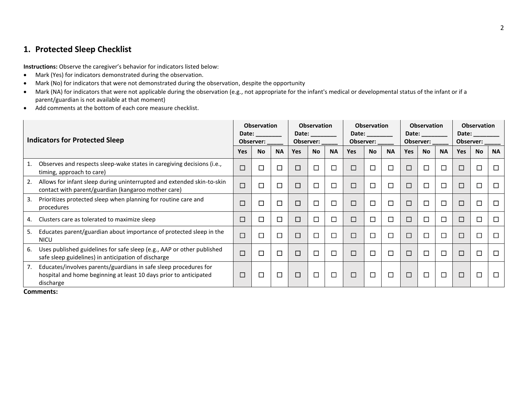#### **1. Protected Sleep Checklist**

**Instructions:** Observe the caregiver's behavior for indicators listed below:

- Mark (Yes) for indicators demonstrated during the observation.
- Mark (No) for indicators that were not demonstrated during the observation, despite the opportunity
- Mark (NA) for indicators that were not applicable during the observation (e.g., not appropriate for the infant's medical or developmental status of the infant or if a parent/guardian is not available at that moment)
- Add comments at the bottom of each core measure checklist.

|    | <b>Indicators for Protected Sleep</b>                                                                                                              |            | <b>Observation</b><br>Date:<br>Observer: |           |            | <b>Observation</b><br>Date: the controller of the controller of the controller of the controller of the controller of the controller<br>Observer: |           |        | <b>Observation</b><br>Date: the control of the control of the control of the control of the control of the control of the control of the control of the control of the control of the control of the control of the control of the control of the co<br>Observer: |           |            | <b>Observation</b><br>Date:<br>Observer: |           |        | <b>Observation</b><br>Date:<br>Observer: |           |
|----|----------------------------------------------------------------------------------------------------------------------------------------------------|------------|------------------------------------------|-----------|------------|---------------------------------------------------------------------------------------------------------------------------------------------------|-----------|--------|-------------------------------------------------------------------------------------------------------------------------------------------------------------------------------------------------------------------------------------------------------------------|-----------|------------|------------------------------------------|-----------|--------|------------------------------------------|-----------|
|    |                                                                                                                                                    | <b>Yes</b> | <b>No</b>                                | <b>NA</b> | <b>Yes</b> | <b>No</b>                                                                                                                                         | <b>NA</b> | Yes    | <b>No</b>                                                                                                                                                                                                                                                         | <b>NA</b> | <b>Yes</b> | <b>No</b>                                | <b>NA</b> | Yes    | <b>No</b>                                | <b>NA</b> |
|    | Observes and respects sleep-wake states in caregiving decisions (i.e.,<br>timing, approach to care)                                                | $\Box$     | $\Box$                                   | □         | □          | Е                                                                                                                                                 | □         | $\Box$ | $\Box$                                                                                                                                                                                                                                                            | $\Box$    | □          | $\Box$                                   | $\Box$    | □      | □                                        | □         |
| 2. | Allows for infant sleep during uninterrupted and extended skin-to-skin<br>contact with parent/guardian (kangaroo mother care)                      | $\Box$     | П                                        | $\Box$    | $\Box$     | 匸                                                                                                                                                 | $\Box$    | $\Box$ | $\Box$                                                                                                                                                                                                                                                            | $\Box$    | □          | $\Box$                                   | $\Box$    | □      | □                                        | □         |
| 3. | Prioritizes protected sleep when planning for routine care and<br>procedures                                                                       | $\Box$     | L.                                       | □         | $\Box$     | $\Box$                                                                                                                                            | $\Box$    | $\Box$ | $\Box$                                                                                                                                                                                                                                                            | $\Box$    | □          |                                          | $\Box$    | □      | □                                        | □         |
| 4. | Clusters care as tolerated to maximize sleep                                                                                                       | $\Box$     | Г                                        | □         | $\Box$     | Г                                                                                                                                                 | $\Box$    | $\Box$ | $\Box$                                                                                                                                                                                                                                                            | $\Box$    | □          |                                          | $\Box$    | $\Box$ | □                                        | □         |
| 5. | Educates parent/guardian about importance of protected sleep in the<br><b>NICU</b>                                                                 | $\Box$     | Г                                        | □         | $\Box$     | 匸                                                                                                                                                 | $\Box$    | $\Box$ | $\Box$                                                                                                                                                                                                                                                            | $\Box$    | □          | □                                        | $\Box$    | □      | □                                        | □         |
| 6. | Uses published guidelines for safe sleep (e.g., AAP or other published<br>safe sleep guidelines) in anticipation of discharge                      | $\Box$     | J.                                       | $\Box$    | $\Box$     | $\Box$                                                                                                                                            | $\Box$    | $\Box$ | $\Box$                                                                                                                                                                                                                                                            | $\Box$    | $\Box$     |                                          | $\Box$    | $\Box$ | □                                        | □         |
| 7. | Educates/involves parents/guardians in safe sleep procedures for<br>hospital and home beginning at least 10 days prior to anticipated<br>discharge | □          | ◘                                        | □         | $\Box$     | 匸                                                                                                                                                 | $\Box$    | $\Box$ | $\Box$                                                                                                                                                                                                                                                            | $\Box$    | $\Box$     |                                          | $\Box$    | □      | □                                        | $\Box$    |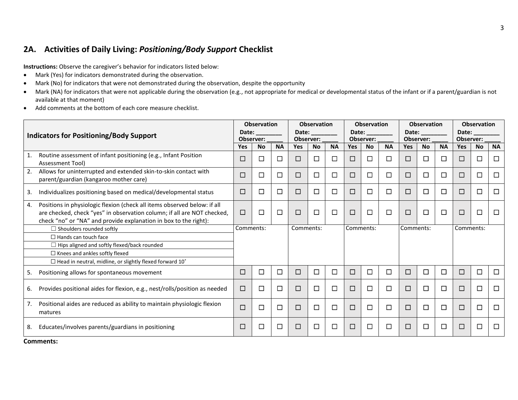### **2A. Activities of Daily Living:** *Positioning/Body Support* **Checklist**

**Instructions:** Observe the caregiver's behavior for indicators listed below:

- Mark (Yes) for indicators demonstrated during the observation.
- Mark (No) for indicators that were not demonstrated during the observation, despite the opportunity
- Mark (NA) for indicators that were not applicable during the observation (e.g., not appropriate for medical or developmental status of the infant or if a parent/guardian is not available at that moment)
- Add comments at the bottom of each core measure checklist.

| Date:<br>Date:<br>Date:<br>Date:<br>Date:<br><b>Indicators for Positioning/Body Support</b><br>Observer:<br>Observer:<br>Observer:<br>Observer:<br>Observer:<br><b>Yes</b><br><b>NA</b><br><b>No</b><br><b>NA</b><br><b>Yes</b><br><b>NA</b><br>Yes<br><b>No</b><br><b>NA</b><br><b>Yes</b><br><b>No</b><br><b>Yes</b><br><b>No</b><br>Routine assessment of infant positioning (e.g., Infant Position<br>1.<br>□<br>□<br>□<br>□<br>□<br>$\Box$<br>□<br>□<br>$\Box$<br>ப<br>⊔<br>⊔<br>$\mathbf{L}$<br><b>Assessment Tool)</b><br>2.<br>Allows for uninterrupted and extended skin-to-skin contact with<br>$\Box$<br>□<br>□<br>□<br>□<br>□<br>$\Box$<br>$\Box$<br>П<br>□<br>⊔<br>$\perp$<br>⊔<br>parent/guardian (kangaroo mother care)<br>□<br>□<br>□<br>□<br>□<br>□<br>□<br>□<br>□<br>□<br>□<br>$\Box$<br>Individualizes positioning based on medical/developmental status<br>3.<br>Positions in physiologic flexion (check all items observed below: if all<br>4.<br>□<br>□<br>$\Box$<br>□<br>□<br>□<br>are checked, check "yes" in observation column; if all are NOT checked,<br>$\Box$<br>□<br>$\Box$<br>$\Box$<br>ப<br>ப<br>check "no" or "NA" and provide explanation in box to the right):<br>Comments:<br>Comments:<br>Comments:<br>Comments:<br>Comments:<br>$\Box$ Shoulders rounded softly<br>$\Box$ Hands can touch face<br>$\Box$ Hips aligned and softly flexed/back rounded<br>$\Box$ Knees and ankles softly flexed<br>$\Box$ Head in neutral, midline, or slightly flexed forward 10°<br>□<br>□<br>$\Box$<br>□<br>□<br>□<br>□<br>□<br>Positioning allows for spontaneous movement<br>$\Box$<br>$\Box$<br>ப<br>⊔<br>⊔<br>5. | <b>NA</b><br><b>No</b><br>$\Box$<br>□<br>$\Box$<br>□<br>□<br>□ |
|----------------------------------------------------------------------------------------------------------------------------------------------------------------------------------------------------------------------------------------------------------------------------------------------------------------------------------------------------------------------------------------------------------------------------------------------------------------------------------------------------------------------------------------------------------------------------------------------------------------------------------------------------------------------------------------------------------------------------------------------------------------------------------------------------------------------------------------------------------------------------------------------------------------------------------------------------------------------------------------------------------------------------------------------------------------------------------------------------------------------------------------------------------------------------------------------------------------------------------------------------------------------------------------------------------------------------------------------------------------------------------------------------------------------------------------------------------------------------------------------------------------------------------------------------------------------------------------------------------------------------------------------|----------------------------------------------------------------|
|                                                                                                                                                                                                                                                                                                                                                                                                                                                                                                                                                                                                                                                                                                                                                                                                                                                                                                                                                                                                                                                                                                                                                                                                                                                                                                                                                                                                                                                                                                                                                                                                                                              |                                                                |
|                                                                                                                                                                                                                                                                                                                                                                                                                                                                                                                                                                                                                                                                                                                                                                                                                                                                                                                                                                                                                                                                                                                                                                                                                                                                                                                                                                                                                                                                                                                                                                                                                                              |                                                                |
|                                                                                                                                                                                                                                                                                                                                                                                                                                                                                                                                                                                                                                                                                                                                                                                                                                                                                                                                                                                                                                                                                                                                                                                                                                                                                                                                                                                                                                                                                                                                                                                                                                              |                                                                |
|                                                                                                                                                                                                                                                                                                                                                                                                                                                                                                                                                                                                                                                                                                                                                                                                                                                                                                                                                                                                                                                                                                                                                                                                                                                                                                                                                                                                                                                                                                                                                                                                                                              |                                                                |
|                                                                                                                                                                                                                                                                                                                                                                                                                                                                                                                                                                                                                                                                                                                                                                                                                                                                                                                                                                                                                                                                                                                                                                                                                                                                                                                                                                                                                                                                                                                                                                                                                                              |                                                                |
|                                                                                                                                                                                                                                                                                                                                                                                                                                                                                                                                                                                                                                                                                                                                                                                                                                                                                                                                                                                                                                                                                                                                                                                                                                                                                                                                                                                                                                                                                                                                                                                                                                              |                                                                |
|                                                                                                                                                                                                                                                                                                                                                                                                                                                                                                                                                                                                                                                                                                                                                                                                                                                                                                                                                                                                                                                                                                                                                                                                                                                                                                                                                                                                                                                                                                                                                                                                                                              | □<br>$\Box$                                                    |
|                                                                                                                                                                                                                                                                                                                                                                                                                                                                                                                                                                                                                                                                                                                                                                                                                                                                                                                                                                                                                                                                                                                                                                                                                                                                                                                                                                                                                                                                                                                                                                                                                                              |                                                                |
|                                                                                                                                                                                                                                                                                                                                                                                                                                                                                                                                                                                                                                                                                                                                                                                                                                                                                                                                                                                                                                                                                                                                                                                                                                                                                                                                                                                                                                                                                                                                                                                                                                              |                                                                |
|                                                                                                                                                                                                                                                                                                                                                                                                                                                                                                                                                                                                                                                                                                                                                                                                                                                                                                                                                                                                                                                                                                                                                                                                                                                                                                                                                                                                                                                                                                                                                                                                                                              |                                                                |
|                                                                                                                                                                                                                                                                                                                                                                                                                                                                                                                                                                                                                                                                                                                                                                                                                                                                                                                                                                                                                                                                                                                                                                                                                                                                                                                                                                                                                                                                                                                                                                                                                                              |                                                                |
|                                                                                                                                                                                                                                                                                                                                                                                                                                                                                                                                                                                                                                                                                                                                                                                                                                                                                                                                                                                                                                                                                                                                                                                                                                                                                                                                                                                                                                                                                                                                                                                                                                              |                                                                |
|                                                                                                                                                                                                                                                                                                                                                                                                                                                                                                                                                                                                                                                                                                                                                                                                                                                                                                                                                                                                                                                                                                                                                                                                                                                                                                                                                                                                                                                                                                                                                                                                                                              | $\Box$<br>$\Box$                                               |
| $\Box$<br>□<br>□<br>□<br>□<br>□<br>$\Box$<br>□<br>□<br>$\Box$<br>$\Box$<br>□<br>Provides positional aides for flexion, e.g., nest/rolls/position as needed<br>6.                                                                                                                                                                                                                                                                                                                                                                                                                                                                                                                                                                                                                                                                                                                                                                                                                                                                                                                                                                                                                                                                                                                                                                                                                                                                                                                                                                                                                                                                             | □<br>$\Box$                                                    |
| Positional aides are reduced as ability to maintain physiologic flexion<br>7.<br>$\Box$<br>$\Box$<br>$\Box$<br>□<br>□<br>□<br>□<br>□<br>□<br>□<br>□<br>$\Box$<br>matures                                                                                                                                                                                                                                                                                                                                                                                                                                                                                                                                                                                                                                                                                                                                                                                                                                                                                                                                                                                                                                                                                                                                                                                                                                                                                                                                                                                                                                                                     | $\Box$<br>□                                                    |
| $\Box$<br>$\Box$<br>□<br>□<br>□<br>$\Box$<br>□<br>П<br>$\Box$<br>$\Box$<br>$\Box$<br>П<br>Educates/involves parents/guardians in positioning<br>8.                                                                                                                                                                                                                                                                                                                                                                                                                                                                                                                                                                                                                                                                                                                                                                                                                                                                                                                                                                                                                                                                                                                                                                                                                                                                                                                                                                                                                                                                                           | $\Box$<br>□                                                    |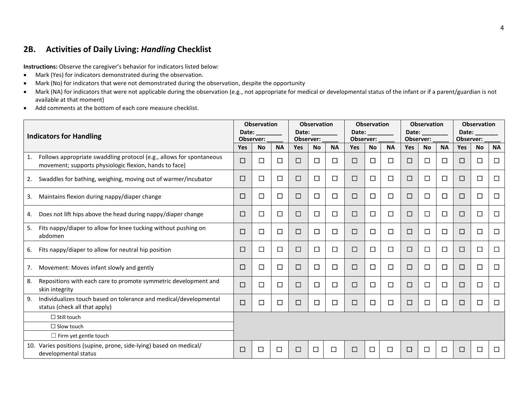#### **2B. Activities of Daily Living:** *Handling* **Checklist**

- Mark (Yes) for indicators demonstrated during the observation.
- Mark (No) for indicators that were not demonstrated during the observation, despite the opportunity
- Mark (NA) for indicators that were not applicable during the observation (e.g., not appropriate for medical or developmental status of the infant or if a parent/guardian is not available at that moment)
- Add comments at the bottom of each core measure checklist.

|    | <b>Indicators for Handling</b>                                                                                                 |            | <b>Observation</b><br>Date:<br>Observer: |           | Date:<br>Observer: | <b>Observation</b> |           | Observer:  | <b>Observation</b><br>Date: |           | Observer: | <b>Observation</b><br>Date: |           | Date:<br>Observer: | <b>Observation</b> |           |
|----|--------------------------------------------------------------------------------------------------------------------------------|------------|------------------------------------------|-----------|--------------------|--------------------|-----------|------------|-----------------------------|-----------|-----------|-----------------------------|-----------|--------------------|--------------------|-----------|
|    |                                                                                                                                | <b>Yes</b> | <b>No</b>                                | <b>NA</b> | <b>Yes</b>         | <b>No</b>          | <b>NA</b> | <b>Yes</b> | <b>No</b>                   | <b>NA</b> | Yes       | <b>No</b>                   | <b>NA</b> | Yes                | <b>No</b>          | <b>NA</b> |
| 1. | Follows appropriate swaddling protocol (e.g., allows for spontaneous<br>movement; supports physiologic flexion, hands to face) | □          | П                                        | $\Box$    | П                  | $\Box$             | □         | □          | $\Box$                      | □         | □         | □                           | П         | □                  | □                  | $\Box$    |
| 2. | Swaddles for bathing, weighing, moving out of warmer/incubator                                                                 | □          | П                                        | $\Box$    | □                  | □                  | □         | □          | □                           | □         | □         | □                           | □         | □                  | □                  | $\Box$    |
| 3. | Maintains flexion during nappy/diaper change                                                                                   | □          | □                                        | $\Box$    | □                  | $\Box$             | $\Box$    | □          | $\Box$                      | □         | □         | $\Box$                      | □         | □                  | □                  | $\Box$    |
| 4. | Does not lift hips above the head during nappy/diaper change                                                                   | □          | $\Box$                                   | $\Box$    | $\Box$             | $\Box$             | $\Box$    | $\Box$     | $\Box$                      | □         | □         | $\Box$                      | □         | □                  | □                  | □         |
| 5. | Fits nappy/diaper to allow for knee tucking without pushing on<br>abdomen                                                      | □          | □                                        | $\Box$    | □                  | $\Box$             | $\Box$    | □          | $\Box$                      | □         | □         | $\Box$                      | $\Box$    | $\Box$             | $\Box$             | $\Box$    |
| 6. | Fits nappy/diaper to allow for neutral hip position                                                                            | □          | $\overline{\phantom{a}}$                 | $\Box$    | П                  | $\Box$             | $\Box$    | □          | □                           | □         | □         | $\Box$                      | $\Box$    | $\Box$             | □                  | $\Box$    |
| 7. | Movement: Moves infant slowly and gently                                                                                       | □          | □                                        | $\Box$    | $\Box$             | $\Box$             | $\Box$    | □          | □                           | □         | □         | □                           | $\Box$    | □                  | □                  | $\Box$    |
| 8. | Repositions with each care to promote symmetric development and<br>skin integrity                                              | □          | $\Box$                                   | $\Box$    | □                  | $\Box$             | □         | □          | □                           | □         | □         | ப                           | $\Box$    | □                  | □                  | $\Box$    |
| 9. | Individualizes touch based on tolerance and medical/developmental<br>status (check all that apply)                             | □          | П                                        | □         | □                  | $\Box$             | $\Box$    | □          | □                           | □         | □         | □                           | □         | □                  | □                  | $\Box$    |
|    | $\Box$ Still touch                                                                                                             |            |                                          |           |                    |                    |           |            |                             |           |           |                             |           |                    |                    |           |
|    | $\Box$ Slow touch                                                                                                              |            |                                          |           |                    |                    |           |            |                             |           |           |                             |           |                    |                    |           |
|    | $\Box$ Firm yet gentle touch                                                                                                   |            |                                          |           |                    |                    |           |            |                             |           |           |                             |           |                    |                    |           |
|    | 10. Varies positions (supine, prone, side-lying) based on medical/<br>developmental status                                     | □          | □                                        | $\Box$    | □                  | $\Box$             | □         | □          | П                           | □         | $\Box$    | $\Box$                      | $\Box$    | □                  | □                  | $\Box$    |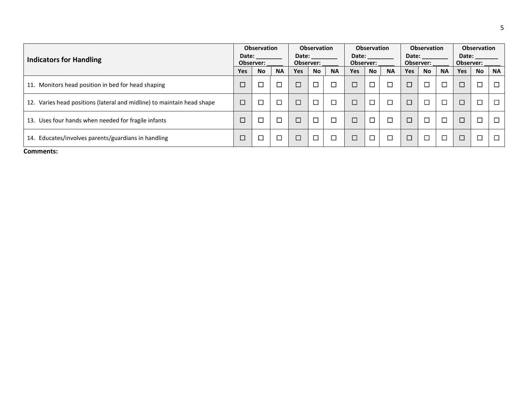| <b>Indicators for Handling</b>                                         | Date:      | <b>Observation</b><br>Observer: |           | Date:      | <b>Observation</b><br>Observer: |           | Date:<br>Observer: | <b>Observation</b> |           | Date:      | Observation<br>Observer: |           | Observer: | <b>Observation</b><br>Date: |           |
|------------------------------------------------------------------------|------------|---------------------------------|-----------|------------|---------------------------------|-----------|--------------------|--------------------|-----------|------------|--------------------------|-----------|-----------|-----------------------------|-----------|
|                                                                        | <b>Yes</b> | <b>No</b>                       | <b>NA</b> | <b>Yes</b> | <b>No</b>                       | <b>NA</b> | <b>Yes</b>         | <b>No</b>          | <b>NA</b> | <b>Yes</b> | <b>No</b>                | <b>NA</b> | Yes       | <b>No</b>                   | <b>NA</b> |
| Monitors head position in bed for head shaping<br>11.                  | $\Box$     |                                 | −         |            | □                               | $\Box$    | ⊏                  | −                  | $\Box$    | $\Box$     |                          |           | $\Box$    |                             |           |
| 12. Varies head positions (lateral and midline) to maintain head shape | $\Box$     |                                 |           |            | $\Box$                          | $\Box$    | Ē                  |                    | $\Box$    | $\Box$     |                          |           | $\Box$    |                             | $\Box$    |
| 13. Uses four hands when needed for fragile infants                    | $\Box$     |                                 | −         |            |                                 | □         | С                  |                    | $\Box$    | $\Box$     |                          |           | $\Box$    |                             |           |
| Educates/involves parents/guardians in handling<br>14.                 | $\Box$     |                                 |           |            | $\Box$                          | $\Box$    | ⊏                  |                    | $\Box$    | $\Box$     |                          |           | $\Box$    |                             |           |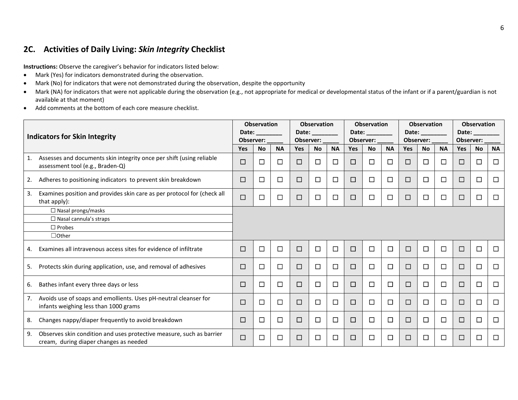#### **2C. Activities of Daily Living:** *Skin Integrity* **Checklist**

- Mark (Yes) for indicators demonstrated during the observation.
- Mark (No) for indicators that were not demonstrated during the observation, despite the opportunity
- Mark (NA) for indicators that were not applicable during the observation (e.g., not appropriate for medical or developmental status of the infant or if a parent/guardian is not available at that moment)
- Add comments at the bottom of each core measure checklist.

|    | <b>Indicators for Skin Integrity</b>                                                                           | Date:<br>Observer: | <b>Observation</b> |           | Observer:  | <b>Observation</b><br>Date: |           |            | <b>Observation</b><br>Date:<br>Observer: |           |            | <b>Observation</b><br>Date:<br>Observer: |           | Date:<br>Observer: | <b>Observation</b> |           |
|----|----------------------------------------------------------------------------------------------------------------|--------------------|--------------------|-----------|------------|-----------------------------|-----------|------------|------------------------------------------|-----------|------------|------------------------------------------|-----------|--------------------|--------------------|-----------|
|    |                                                                                                                | <b>Yes</b>         | <b>No</b>          | <b>NA</b> | <b>Yes</b> | <b>No</b>                   | <b>NA</b> | <b>Yes</b> | <b>No</b>                                | <b>NA</b> | <b>Yes</b> | <b>No</b>                                | <b>NA</b> | <b>Yes</b>         | <b>No</b>          | <b>NA</b> |
| 1. | Assesses and documents skin integrity once per shift (using reliable<br>assessment tool (e.g., Braden-Q)       | □                  | □                  | □         | □          | $\Box$                      | $\Box$    | $\Box$     | $\Box$                                   | $\Box$    | □          | $\Box$                                   | $\Box$    | $\Box$             | □                  | $\Box$    |
| 2. | Adheres to positioning indicators to prevent skin breakdown                                                    | $\Box$             | $\Box$             | □         | □          | $\Box$                      | ⊏         | $\Box$     | $\Box$                                   | $\Box$    | □          | $\Box$                                   | □         | $\Box$             | □                  | $\Box$    |
| 3. | Examines position and provides skin care as per protocol for (check all<br>that apply):                        | $\Box$             | $\Box$             | □         | □          | $\Box$                      | $\Box$    | $\Box$     | $\Box$                                   | $\Box$    | □          | $\Box$                                   | $\Box$    | $\Box$             | □                  | $\Box$    |
|    | $\Box$ Nasal prongs/masks                                                                                      |                    |                    |           |            |                             |           |            |                                          |           |            |                                          |           |                    |                    |           |
|    | $\Box$ Nasal cannula's straps                                                                                  |                    |                    |           |            |                             |           |            |                                          |           |            |                                          |           |                    |                    |           |
|    | $\Box$ Probes                                                                                                  |                    |                    |           |            |                             |           |            |                                          |           |            |                                          |           |                    |                    |           |
|    | $\Box$ Other                                                                                                   |                    |                    |           |            |                             |           |            |                                          |           |            |                                          |           |                    |                    |           |
| 4. | Examines all intravenous access sites for evidence of infiltrate                                               | $\Box$             | □                  | $\Box$    | □          | $\Box$                      | $\Box$    | $\Box$     | □                                        | $\Box$    | $\Box$     | $\Box$                                   | $\Box$    | $\Box$             | $\Box$             | $\Box$    |
| 5. | Protects skin during application, use, and removal of adhesives                                                | $\Box$             | □                  | □         | □          | $\Box$                      | □         | $\Box$     | □                                        | □         | $\Box$     | $\Box$                                   | $\Box$    | $\Box$             | □                  | $\Box$    |
| 6. | Bathes infant every three days or less                                                                         | □                  | □                  | □         | □          | $\Box$                      | □         | □          | □                                        | □         | □          | $\Box$                                   | $\Box$    | $\Box$             | □                  | $\Box$    |
| 7. | Avoids use of soaps and emollients. Uses pH-neutral cleanser for<br>infants weighing less than 1000 grams      | $\Box$             | $\Box$             | □         | □          | $\Box$                      | $\Box$    | $\Box$     | □                                        | $\Box$    | □          | $\Box$                                   | $\Box$    | $\Box$             | □                  | $\Box$    |
| 8. | Changes nappy/diaper frequently to avoid breakdown                                                             | $\Box$             | □                  | □         | □          | $\Box$                      | □         | $\Box$     | $\Box$                                   | □         | □          | $\Box$                                   | $\Box$    | $\Box$             | □                  | $\Box$    |
| 9. | Observes skin condition and uses protective measure, such as barrier<br>cream, during diaper changes as needed | $\Box$             | $\Box$             | □         | □          | $\Box$                      | ⊏         | □          | □                                        | $\Box$    | □          | $\Box$                                   | □         | □                  | $\Box$             | $\Box$    |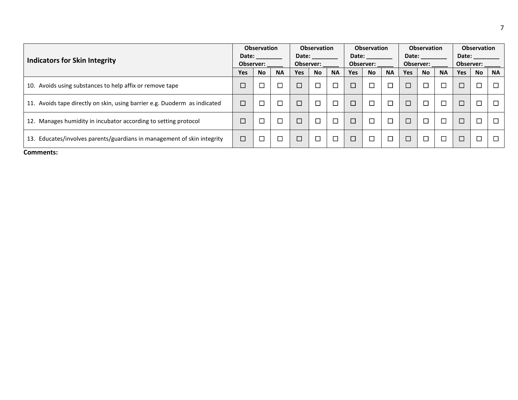|                                                                            |                    | <b>Observation</b> |           |                    | <b>Observation</b> |           |        | <b>Observation</b> |           |        | <b>Observation</b> |           |                    | <b>Observation</b> |           |
|----------------------------------------------------------------------------|--------------------|--------------------|-----------|--------------------|--------------------|-----------|--------|--------------------|-----------|--------|--------------------|-----------|--------------------|--------------------|-----------|
| <b>Indicators for Skin Integrity</b>                                       | Date:<br>Observer: |                    |           | Date:<br>Observer: |                    |           | Date:  | Observer:          |           | Date:  | Observer:          |           | Date:<br>Observer: |                    |           |
|                                                                            | Yes                | <b>No</b>          | <b>NA</b> | <b>Yes</b>         | <b>No</b>          | <b>NA</b> | Yes    | <b>No</b>          | <b>NA</b> | Yes    | <b>No</b>          | <b>NA</b> | Yes                | <b>No</b>          | <b>NA</b> |
| 10. Avoids using substances to help affix or remove tape                   | $\Box$             | $\Box$             | $\Box$    | $\Box$             |                    |           | $\Box$ | $\Box$             | $\Box$    | $\Box$ | $\Box$             | П         | $\Box$             | П                  | $\Gamma$  |
| 11. Avoids tape directly on skin, using barrier e.g. Duoderm as indicated  | $\Box$             | □                  | ◘         | □                  |                    |           | □      | $\Box$             | $\Box$    | $\Box$ | $\Box$             | $\Box$    | $\Box$             | ┑                  | $\Box$    |
| 12. Manages humidity in incubator according to setting protocol            | $\Box$             | $\Box$             | $\Box$    | $\Box$             | ⊔                  |           | $\Box$ | $\Box$             | $\Box$    | $\Box$ | $\Box$             | П         | $\Box$             | П                  |           |
| Educates/involves parents/guardians in management of skin integrity<br>13. | $\Box$             | $\Box$             | $\Box$    | $\Box$             |                    |           | $\Box$ | $\Box$             | $\Box$    | $\Box$ | $\Box$             | $\Box$    | $\Box$             | ┓                  | $\Box$    |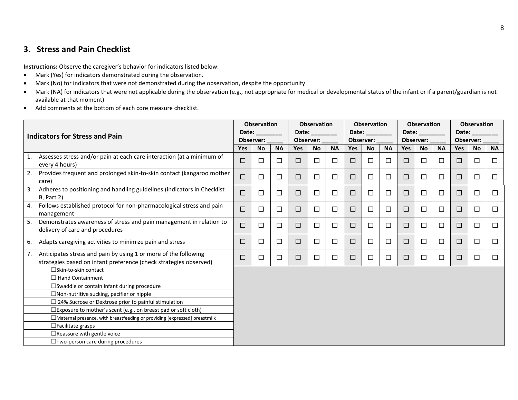#### **3. Stress and Pain Checklist**

- Mark (Yes) for indicators demonstrated during the observation.
- Mark (No) for indicators that were not demonstrated during the observation, despite the opportunity
- Mark (NA) for indicators that were not applicable during the observation (e.g., not appropriate for medical or developmental status of the infant or if a parent/guardian is not available at that moment)
- Add comments at the bottom of each core measure checklist.

|    |                                                                                                                                      |            | <b>Observation</b> |           |            | <b>Observation</b> |           |        | <b>Observation</b> |           |            | <b>Observation</b> |           |            | <b>Observation</b> |           |
|----|--------------------------------------------------------------------------------------------------------------------------------------|------------|--------------------|-----------|------------|--------------------|-----------|--------|--------------------|-----------|------------|--------------------|-----------|------------|--------------------|-----------|
|    | Indicators for Stress and Pain                                                                                                       | Date:      | Observer:          |           | Date:      | Observer:          |           | Date:  | Observer:          |           | Date:      | Observer:          |           | Date:      | Observer:          |           |
|    |                                                                                                                                      | <b>Yes</b> | <b>No</b>          | <b>NA</b> | <b>Yes</b> | <b>No</b>          | <b>NA</b> | Yes    | <b>No</b>          | <b>NA</b> | <b>Yes</b> | <b>No</b>          | <b>NA</b> | <b>Yes</b> | <b>No</b>          | <b>NA</b> |
| 1. | Assesses stress and/or pain at each care interaction (at a minimum of<br>every 4 hours)                                              | $\Box$     | П                  | $\Box$    | □          | $\Box$             | □         | □      | □                  | $\Box$    | $\Box$     | $\Box$             | ◻         | □          | $\Box$             | $\Box$    |
| 2. | Provides frequent and prolonged skin-to-skin contact (kangaroo mother<br>care)                                                       | □          | $\Box$             | □         | $\Box$     | □                  | □         | □      | □                  | $\Box$    | □          | $\Box$             | □         | □          | $\Box$             | $\Box$    |
| 3. | Adheres to positioning and handling guidelines (indicators in Checklist<br><b>B</b> , Part 2)                                        | $\Box$     | $\Box$             | $\Box$    | $\Box$     | □                  | □         | $\Box$ | □                  | $\Box$    | $\Box$     | $\Box$             | $\Box$    | $\Box$     | □                  | $\Box$    |
| 4. | Follows established protocol for non-pharmacological stress and pain<br>management                                                   | $\Box$     | $\Box$             | $\Box$    | □          | $\Box$             | $\Box$    | □      | $\Box$             | $\Box$    | $\Box$     | $\Box$             | □         | $\Box$     | $\Box$             | $\Box$    |
| 5. | Demonstrates awareness of stress and pain management in relation to<br>delivery of care and procedures                               | $\Box$     | $\Box$             | $\Box$    | $\Box$     | □                  | □         | □      | □                  | $\Box$    | □          | $\Box$             | □         | $\Box$     | $\Box$             | $\Box$    |
| 6. | Adapts caregiving activities to minimize pain and stress                                                                             | □          | $\Box$             | $\Box$    | □          | $\Box$             | □         | $\Box$ | □                  | $\Box$    | □          | $\Box$             | $\Box$    | $\Box$     | $\Box$             | $\Box$    |
| 7. | Anticipates stress and pain by using 1 or more of the following<br>strategies based on infant preference (check strategies observed) | □          | $\Box$             | $\Box$    | $\Box$     | $\Box$             | □         | □      | □                  | $\Box$    | □          | $\Box$             | □         | $\Box$     | $\Box$             | $\Box$    |
|    | □Skin-to-skin contact                                                                                                                |            |                    |           |            |                    |           |        |                    |           |            |                    |           |            |                    |           |
|    | $\Box$ Hand Containment                                                                                                              |            |                    |           |            |                    |           |        |                    |           |            |                    |           |            |                    |           |
|    | $\square$ Swaddle or contain infant during procedure                                                                                 |            |                    |           |            |                    |           |        |                    |           |            |                    |           |            |                    |           |
|    | $\Box$ Non-nutritive sucking, pacifier or nipple                                                                                     |            |                    |           |            |                    |           |        |                    |           |            |                    |           |            |                    |           |
|    | $\Box$ 24% Sucrose or Dextrose prior to painful stimulation                                                                          |            |                    |           |            |                    |           |        |                    |           |            |                    |           |            |                    |           |
|    | $\square$ Exposure to mother's scent (e.g., on breast pad or soft cloth)                                                             |            |                    |           |            |                    |           |        |                    |           |            |                    |           |            |                    |           |
|    | $\Box$ Maternal presence, with breastfeeding or providing [expressed] breastmilk                                                     |            |                    |           |            |                    |           |        |                    |           |            |                    |           |            |                    |           |
|    | $\Box$ Facilitate grasps                                                                                                             |            |                    |           |            |                    |           |        |                    |           |            |                    |           |            |                    |           |
|    | $\Box$ Reassure with gentle voice                                                                                                    |            |                    |           |            |                    |           |        |                    |           |            |                    |           |            |                    |           |
|    | $\Box$ Two-person care during procedures                                                                                             |            |                    |           |            |                    |           |        |                    |           |            |                    |           |            |                    |           |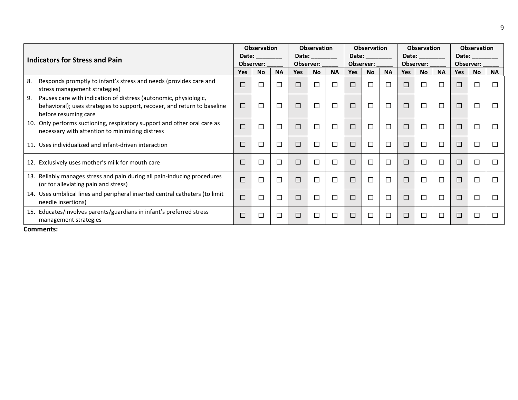| Indicators for Stress and Pain                                                                                                                                             |            | <b>Observation</b><br>Date:<br>Observer: |                |            | <b>Observation</b><br>Date:<br>Observer: |                          |            | <b>Observation</b><br>Date:<br>Observer: |              |            | <b>Observation</b><br>Date:<br>Observer: |           | Date:  | <b>Observation</b><br>Observer: |           |
|----------------------------------------------------------------------------------------------------------------------------------------------------------------------------|------------|------------------------------------------|----------------|------------|------------------------------------------|--------------------------|------------|------------------------------------------|--------------|------------|------------------------------------------|-----------|--------|---------------------------------|-----------|
|                                                                                                                                                                            | <b>Yes</b> | <b>No</b>                                | <b>NA</b>      | <b>Yes</b> | <b>No</b>                                | <b>NA</b>                | <b>Yes</b> | <b>No</b>                                | <b>NA</b>    | <b>Yes</b> | <b>No</b>                                | <b>NA</b> | Yes    | <b>No</b>                       | <b>NA</b> |
| Responds promptly to infant's stress and needs (provides care and<br>8.<br>stress management strategies)                                                                   | □          | $\Box$                                   | $\blacksquare$ | $\Box$     |                                          | $\Box$                   | □          | $\Box$                                   | $\mathbf{1}$ | $\Box$     | $\Box$                                   | П         | □      |                                 | П         |
| 9.<br>Pauses care with indication of distress (autonomic, physiologic,<br>behavioral); uses strategies to support, recover, and return to baseline<br>before resuming care | □          | $\overline{\phantom{a}}$                 | ⊡              | $\Box$     |                                          | $\Box$                   | $\Box$     | □                                        | $\Box$       | $\Box$     | $\Box$                                   | □         | □      | ⊏                               | П         |
| 10. Only performs suctioning, respiratory support and other oral care as<br>necessary with attention to minimizing distress                                                | $\Box$     | $\mathcal{L}_{\mathcal{A}}$              | П              | $\Box$     | $\Box$                                   | $\overline{\phantom{a}}$ | $\Box$     | $\Box$                                   | П            | $\Box$     | $\Box$                                   | □         | □      | L                               | П         |
| 11. Uses individualized and infant-driven interaction                                                                                                                      | □          | $\Box$                                   | □              | □          |                                          | $\Box$                   | $\Box$     | $\Box$                                   | □            | $\Box$     | $\Box$                                   | $\Box$    | $\Box$ |                                 | $\Box$    |
| 12. Exclusively uses mother's milk for mouth care                                                                                                                          | $\Box$     | ÷.                                       | □              |            |                                          |                          | $\Box$     | □                                        | П            |            | $\Box$                                   | $\Box$    | $\Box$ |                                 | П         |
| Reliably manages stress and pain during all pain-inducing procedures<br>13.<br>(or for alleviating pain and stress)                                                        | $\Box$     | $\overline{\phantom{0}}$                 | $\Box$         |            |                                          | $\Box$                   | $\Box$     | $\Box$                                   | $\Box$       | $\Box$     | $\Box$                                   | $\Box$    | $\Box$ |                                 | П         |
| 14. Uses umbilical lines and peripheral inserted central catheters (to limit<br>needle insertions)                                                                         | $\Box$     | $\Box$                                   | ⊓              |            |                                          |                          | $\Box$     | $\Box$                                   | П            |            | $\Box$                                   | $\Box$    | $\Box$ |                                 | П         |
| Educates/involves parents/guardians in infant's preferred stress<br>15.<br>management strategies                                                                           | $\Box$     |                                          | П              | $\Box$     | □                                        | $\Box$                   | □          | □                                        | $\Box$       | $\Box$     | $\Box$                                   | □         | □      |                                 | □         |

9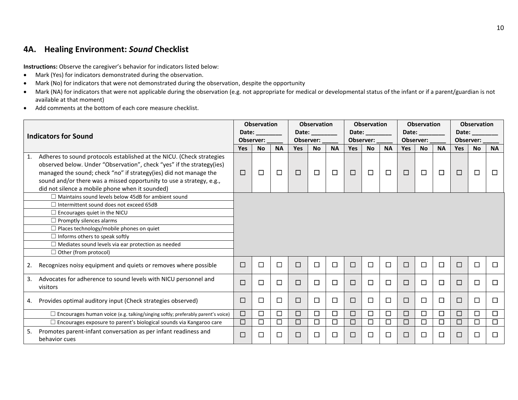#### **4A. Healing Environment:** *Sound* **Checklist**

- Mark (Yes) for indicators demonstrated during the observation.
- Mark (No) for indicators that were not demonstrated during the observation, despite the opportunity
- Mark (NA) for indicators that were not applicable during the observation (e.g. not appropriate for medical or developmental status of the infant or if a parent/guardian is not available at that moment)
- Add comments at the bottom of each core measure checklist.

|    |                                                                                                                                                                                                                                                                                                                                                |            | <b>Observation</b> |           |            | <b>Observation</b> |           |            | <b>Observation</b> |           |            | <b>Observation</b> |           |                             | <b>Observation</b> |           |
|----|------------------------------------------------------------------------------------------------------------------------------------------------------------------------------------------------------------------------------------------------------------------------------------------------------------------------------------------------|------------|--------------------|-----------|------------|--------------------|-----------|------------|--------------------|-----------|------------|--------------------|-----------|-----------------------------|--------------------|-----------|
|    | <b>Indicators for Sound</b>                                                                                                                                                                                                                                                                                                                    | Date:      | Observer:          |           | Date:      | Observer:          |           | Date:      | Observer:          |           | Date:      | Observer:          |           | Date:                       | Observer:          |           |
|    |                                                                                                                                                                                                                                                                                                                                                | <b>Yes</b> | <b>No</b>          | <b>NA</b> | <b>Yes</b> | <b>No</b>          | <b>NA</b> | <b>Yes</b> | <b>No</b>          | <b>NA</b> | <b>Yes</b> | <b>No</b>          | <b>NA</b> | <b>Yes</b>                  | <b>No</b>          | <b>NA</b> |
| 1. | Adheres to sound protocols established at the NICU. (Check strategies<br>observed below. Under "Observation", check "yes" if the strategy(ies)<br>managed the sound; check "no" if strategy(ies) did not manage the<br>sound and/or there was a missed opportunity to use a strategy, e.g.,<br>did not silence a mobile phone when it sounded) | $\Box$     | $\Box$             | $\Box$    | $\Box$     | $\Box$             | $\Box$    | $\Box$     | $\Box$             | $\Box$    | $\Box$     | $\Box$             | $\Box$    | $\Box$                      | $\Box$             | $\Box$    |
|    | $\Box$ Maintains sound levels below 45dB for ambient sound                                                                                                                                                                                                                                                                                     |            |                    |           |            |                    |           |            |                    |           |            |                    |           |                             |                    |           |
|    | $\Box$ Intermittent sound does not exceed 65dB                                                                                                                                                                                                                                                                                                 |            |                    |           |            |                    |           |            |                    |           |            |                    |           |                             |                    |           |
|    | $\Box$ Encourages quiet in the NICU<br>$\Box$ Promptly silences alarms                                                                                                                                                                                                                                                                         |            |                    |           |            |                    |           |            |                    |           |            |                    |           |                             |                    |           |
|    | $\Box$ Places technology/mobile phones on quiet                                                                                                                                                                                                                                                                                                |            |                    |           |            |                    |           |            |                    |           |            |                    |           |                             |                    |           |
|    | $\Box$ Informs others to speak softly                                                                                                                                                                                                                                                                                                          |            |                    |           |            |                    |           |            |                    |           |            |                    |           |                             |                    |           |
|    | $\Box$ Mediates sound levels via ear protection as needed                                                                                                                                                                                                                                                                                      |            |                    |           |            |                    |           |            |                    |           |            |                    |           |                             |                    |           |
|    | $\Box$ Other (from protocol)                                                                                                                                                                                                                                                                                                                   |            |                    |           |            |                    |           |            |                    |           |            |                    |           |                             |                    |           |
| 2. | Recognizes noisy equipment and quiets or removes where possible                                                                                                                                                                                                                                                                                | □          | $\Box$             | $\Box$    | $\Box$     | $\Box$             | $\Box$    | $\Box$     | $\Box$             | $\Box$    | $\Box$     | $\Box$             | $\Box$    | $\Box$                      | $\Box$             | $\Box$    |
| 3. | Advocates for adherence to sound levels with NICU personnel and<br>visitors                                                                                                                                                                                                                                                                    | $\Box$     | $\Box$             | $\Box$    | $\Box$     | $\Box$             | $\Box$    | $\Box$     | $\Box$             | $\Box$    | □          | $\Box$             | $\Box$    | □                           | □                  | $\Box$    |
| 4. | Provides optimal auditory input (Check strategies observed)                                                                                                                                                                                                                                                                                    | □          | $\Box$             | $\Box$    | □          | $\Box$             | $\Box$    | □          | □                  | □         | □          | $\Box$             | $\Box$    | □                           | $\Box$             | $\Box$    |
|    | $\Box$ Encourages human voice (e.g. talking/singing softly; preferably parent's voice)                                                                                                                                                                                                                                                         | $\Box$     | $\Box$             | $\Box$    | □          | $\Box$             | $\Box$    | □          | $\Box$             | $\Box$    | $\Box$     | $\Box$             | $\Box$    | $\Box$                      | $\Box$             | $\Box$    |
|    | $\Box$ Encourages exposure to parent's biological sounds via Kangaroo care                                                                                                                                                                                                                                                                     | □          | $\Box$             | □         | □          | $\Box$             | $\Box$    | □          | □                  | □         | $\Box$     | □                  | □         | $\mathcal{L}_{\mathcal{A}}$ | □                  | $\Box$    |
| 5. | Promotes parent-infant conversation as per infant readiness and<br>behavior cues                                                                                                                                                                                                                                                               | □          | $\mathsf{L}$       | □         | □          | $\Box$             | $\Box$    | □          | □                  | $\Box$    | □          | $\Box$             | $\Box$    | $\Box$                      | $\Box$             | $\Box$    |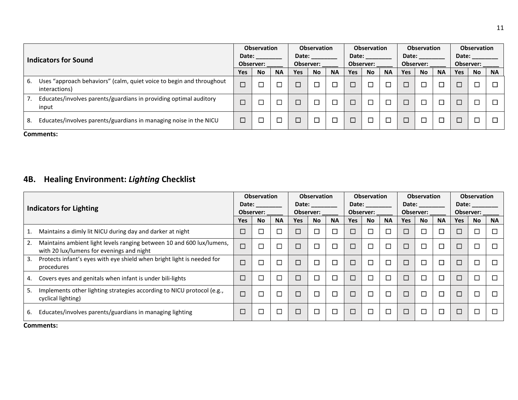|    | Indicators for Sound                                                                  |        | <b>Observation</b><br>Date:<br><b>Observer:</b> |           | Date:      | <b>Observation</b><br><b>Observer:</b> |           | Date:  | <b>Observation</b><br>Observer: |           | Date:      | <b>Observation</b><br>Observer: |           | Date:  | <b>Observation</b><br>Observer: |           |
|----|---------------------------------------------------------------------------------------|--------|-------------------------------------------------|-----------|------------|----------------------------------------|-----------|--------|---------------------------------|-----------|------------|---------------------------------|-----------|--------|---------------------------------|-----------|
|    |                                                                                       |        | <b>No</b>                                       | <b>NA</b> | <b>Yes</b> | <b>No</b>                              | <b>NA</b> | Yes    | <b>No</b>                       | <b>NA</b> | <b>Yes</b> | <b>No</b>                       | <b>NA</b> | Yes    | <b>No</b>                       | <b>NA</b> |
| 6. | Uses "approach behaviors" (calm, quiet voice to begin and throughout<br>interactions) | $\Box$ |                                                 |           |            |                                        |           | $\Box$ |                                 |           |            |                                 |           |        |                                 | □         |
|    | Educates/involves parents/guardians in providing optimal auditory<br>input            | $\Box$ |                                                 |           |            |                                        |           | $\Box$ |                                 |           |            |                                 |           | $\Box$ |                                 | □         |
| 8. | Educates/involves parents/guardians in managing noise in the NICU                     | $\Box$ |                                                 |           |            |                                        |           | $\Box$ |                                 |           |            |                                 |           | $\Box$ |                                 | □         |
|    | Comments:                                                                             |        |                                                 |           |            |                                        |           |        |                                 |           |            |                                 |           |        |                                 |           |

## **4B. Healing Environment:** *Lighting* **Checklist**

|                                                                                                                          |            | <b>Observation</b> |           |            | <b>Observation</b> |           | Date:  | <b>Observation</b> |           | Date:      | <b>Observation</b> |           |        | <b>Observation</b> |           |
|--------------------------------------------------------------------------------------------------------------------------|------------|--------------------|-----------|------------|--------------------|-----------|--------|--------------------|-----------|------------|--------------------|-----------|--------|--------------------|-----------|
| <b>Indicators for Lighting</b>                                                                                           | Date:      | Observer:          |           |            | Date:<br>Observer: |           |        | Observer:          |           |            | Observer:          |           | Date:  | Observer:          |           |
|                                                                                                                          | <b>Yes</b> | <b>No</b>          | <b>NA</b> | <b>Yes</b> | <b>No</b>          | <b>NA</b> | Yes    | No                 | <b>NA</b> | <b>Yes</b> | <b>No</b>          | <b>NA</b> | Yes    | <b>No</b>          | <b>NA</b> |
| Maintains a dimly lit NICU during day and darker at night<br>1.                                                          | $\Box$     |                    | $\Box$    | $\Box$     |                    | $\Box$    | $\Box$ | $\Box$             | $\Box$    |            | $\Box$             |           | $\Box$ | ⊏                  | $\Box$    |
| Maintains ambient light levels ranging between 10 and 600 lux/lumens,<br>2.<br>with 20 lux/lumens for evenings and night | $\Box$     |                    | $\Box$    | $\Box$     |                    | $\Box$    | $\Box$ | $\Box$             | $\Box$    |            | $\Box$             |           | ⊐      | ⊏                  | П         |
| Protects infant's eyes with eye shield when bright light is needed for<br>3.<br>procedures                               | $\Box$     |                    | $\Box$    |            |                    | $\Box$    | $\Box$ | $\Box$             | П         |            | $\Box$             |           | $\Box$ | $\Box$             | П         |
| Covers eyes and genitals when infant is under bili-lights<br>4.                                                          | $\Box$     |                    | $\Box$    | $\Box$     |                    | $\Box$    | □      | $\Box$             | $\Box$    |            | $\Box$             |           | $\Box$ | ⊏                  | $\Box$    |
| Implements other lighting strategies according to NICU protocol (e.g.,<br>5.<br>cyclical lighting)                       | $\Box$     |                    | $\Box$    | $\Box$     | $\Box$             | $\Box$    | $\Box$ | $\Box$             | П         | $\Box$     | $\Box$             | П         | $\Box$ | □                  | $\Box$    |
| Educates/involves parents/guardians in managing lighting<br>6.                                                           | $\Box$     |                    | $\Box$    | $\Box$     |                    | $\Box$    | $\Box$ | $\Box$             | $\Box$    | $\Box$     | □                  |           | □      | □                  | $\Box$    |
| Comments:                                                                                                                |            |                    |           |            |                    |           |        |                    |           |            |                    |           |        |                    |           |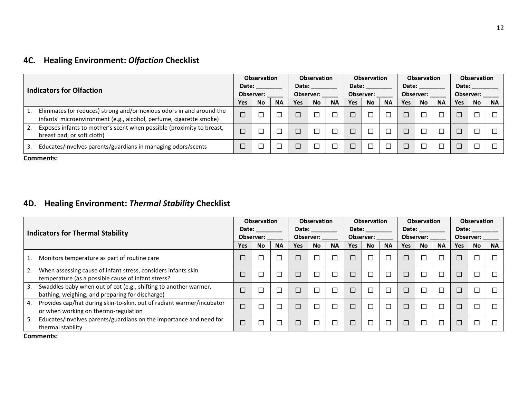### **4C. Healing Environment:** *Olfaction* **Checklist**

| <b>Indicators for Olfaction</b> |                                                                                                                                              | <b>Observation</b><br>Date:<br>Observer: |           |           | <b>Observation</b><br>Date:<br><b>Observer:</b> |           |           | <b>Observation</b><br>Date:<br>Observer: |           |           | <b>Observation</b><br>Date:<br>Observer: |           |           | <b>Observation</b><br>Date:<br><b>Observer:</b> |           |           |
|---------------------------------|----------------------------------------------------------------------------------------------------------------------------------------------|------------------------------------------|-----------|-----------|-------------------------------------------------|-----------|-----------|------------------------------------------|-----------|-----------|------------------------------------------|-----------|-----------|-------------------------------------------------|-----------|-----------|
|                                 |                                                                                                                                              | Yes                                      | <b>No</b> | <b>NA</b> | Yes                                             | <b>No</b> | <b>NA</b> | <b>Yes</b>                               | <b>No</b> | <b>NA</b> | <b>Yes</b>                               | <b>No</b> | <b>NA</b> | <b>Yes</b>                                      | <b>No</b> | <b>NA</b> |
|                                 | Eliminates (or reduces) strong and/or noxious odors in and around the<br>infants' microenvironment (e.g., alcohol, perfume, cigarette smoke) | $\Box$                                   |           |           |                                                 |           |           |                                          | $\Box$    |           |                                          |           |           |                                                 |           |           |
| 2.                              | Exposes infants to mother's scent when possible (proximity to breast,<br>breast pad, or soft cloth)                                          | □                                        |           |           |                                                 |           |           | $\Box$                                   | ⊏         |           |                                          |           |           | $\Box$                                          |           |           |
|                                 | Educates/involves parents/guardians in managing odors/scents                                                                                 | ⊏                                        |           |           |                                                 |           |           |                                          | $\Box$    |           |                                          |           |           | $\Box$                                          |           |           |

**Comments:**

### **4D. Healing Environment:** *Thermal Stability* **Checklist**

| <b>Indicators for Thermal Stability</b> |                                                                                                                     | <b>Observation</b><br>Date: |           |           | <b>Observation</b><br>Date: |           |           | <b>Observation</b><br>Date: |           |           | Observation<br>Date: |           |           | <b>Observation</b><br>Date: |           |           |
|-----------------------------------------|---------------------------------------------------------------------------------------------------------------------|-----------------------------|-----------|-----------|-----------------------------|-----------|-----------|-----------------------------|-----------|-----------|----------------------|-----------|-----------|-----------------------------|-----------|-----------|
|                                         |                                                                                                                     | Observer:                   |           |           | Observer:                   |           |           | Observer:                   |           |           | Observer:            |           |           | Observer:                   |           |           |
|                                         |                                                                                                                     | Yes                         | <b>No</b> | <b>NA</b> | <b>Yes</b>                  | <b>No</b> | <b>NA</b> | Yes                         | <b>No</b> | <b>NA</b> | <b>Yes</b>           | <b>No</b> | <b>NA</b> | <b>Yes</b>                  | <b>No</b> | <b>NA</b> |
| 1.                                      | Monitors temperature as part of routine care                                                                        | □                           |           | Ξ         |                             |           |           |                             | $\Box$    | $\Box$    | С                    | Г         |           | □                           |           |           |
| 2.                                      | When assessing cause of infant stress, considers infants skin<br>temperature (as a possible cause of infant stress? | $\Box$                      |           |           |                             |           |           |                             | $\Box$    | $\Box$    | L                    | П         |           | $\Box$                      |           |           |
| 3.                                      | Swaddles baby when out of cot (e.g., shifting to another warmer,<br>bathing, weighing, and preparing for discharge) | $\Box$                      | ⊏         |           |                             |           |           |                             | $\Box$    | $\Box$    | L                    |           |           | $\Box$                      |           |           |
| 4.                                      | Provides cap/hat during skin-to-skin, out of radiant warmer/incubator<br>or when working on thermo-regulation       | $\Box$                      | Г         |           |                             |           |           |                             | $\Box$    | $\Box$    | С                    | П         |           | $\Box$                      |           |           |
| 5.                                      | Educates/involves parents/guardians on the importance and need for<br>thermal stability                             | $\Box$                      | Г         |           |                             |           |           |                             | $\Box$    |           | Е                    |           |           | П                           |           |           |